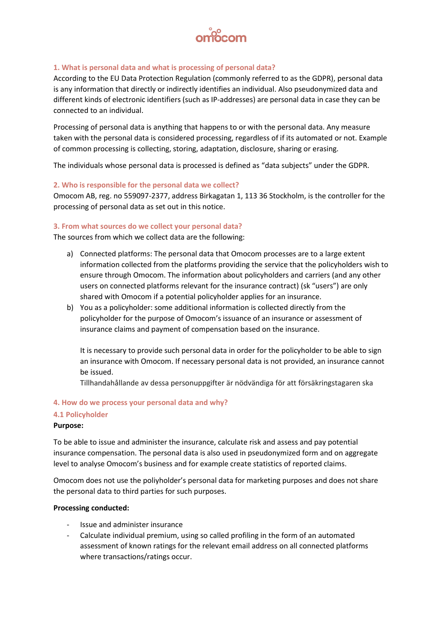

#### **1. What is personal data and what is processing of personal data?**

According to the EU Data Protection Regulation (commonly referred to as the GDPR), personal data is any information that directly or indirectly identifies an individual. Also pseudonymized data and different kinds of electronic identifiers (such as IP-addresses) are personal data in case they can be connected to an individual.

Processing of personal data is anything that happens to or with the personal data. Any measure taken with the personal data is considered processing, regardless of if its automated or not. Example of common processing is collecting, storing, adaptation, disclosure, sharing or erasing.

The individuals whose personal data is processed is defined as "data subjects" under the GDPR.

#### **2. Who is responsible for the personal data we collect?**

Omocom AB, reg. no 559097-2377, address Birkagatan 1, 113 36 Stockholm, is the controller for the processing of personal data as set out in this notice.

#### **3. From what sources do we collect your personal data?**

The sources from which we collect data are the following:

- a) Connected platforms: The personal data that Omocom processes are to a large extent information collected from the platforms providing the service that the policyholders wish to ensure through Omocom. The information about policyholders and carriers (and any other users on connected platforms relevant for the insurance contract) (sk "users") are only shared with Omocom if a potential policyholder applies for an insurance.
- b) You as a policyholder: some additional information is collected directly from the policyholder for the purpose of Omocom's issuance of an insurance or assessment of insurance claims and payment of compensation based on the insurance.

It is necessary to provide such personal data in order for the policyholder to be able to sign an insurance with Omocom. If necessary personal data is not provided, an insurance cannot be issued.

Tillhandahållande av dessa personuppgifter är nödvändiga för att försäkringstagaren ska

# **4. How do we process your personal data and why? 4.1 Policyholder**

# **Purpose:**

To be able to issue and administer the insurance, calculate risk and assess and pay potential insurance compensation. The personal data is also used in pseudonymized form and on aggregate level to analyse Omocom's business and for example create statistics of reported claims.

Omocom does not use the poliyholder's personal data for marketing purposes and does not share the personal data to third parties for such purposes.

#### **Processing conducted:**

- Issue and administer insurance
- Calculate individual premium, using so called profiling in the form of an automated assessment of known ratings for the relevant email address on all connected platforms where transactions/ratings occur.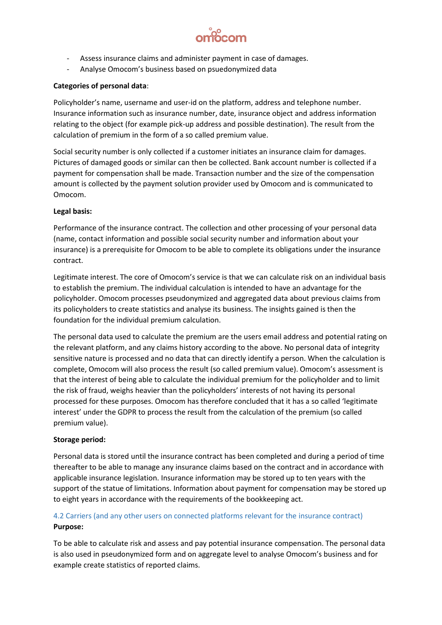

- Assess insurance claims and administer payment in case of damages.
- Analyse Omocom's business based on psuedonymized data

# **Categories of personal data**:

Policyholder's name, username and user-id on the platform, address and telephone number. Insurance information such as insurance number, date, insurance object and address information relating to the object (for example pick-up address and possible destination). The result from the calculation of premium in the form of a so called premium value.

Social security number is only collected if a customer initiates an insurance claim for damages. Pictures of damaged goods or similar can then be collected. Bank account number is collected if a payment for compensation shall be made. Transaction number and the size of the compensation amount is collected by the payment solution provider used by Omocom and is communicated to Omocom.

# **Legal basis:**

Performance of the insurance contract. The collection and other processing of your personal data (name, contact information and possible social security number and information about your insurance) is a prerequisite for Omocom to be able to complete its obligations under the insurance contract.

Legitimate interest. The core of Omocom's service is that we can calculate risk on an individual basis to establish the premium. The individual calculation is intended to have an advantage for the policyholder. Omocom processes pseudonymized and aggregated data about previous claims from its policyholders to create statistics and analyse its business. The insights gained is then the foundation for the individual premium calculation.

The personal data used to calculate the premium are the users email address and potential rating on the relevant platform, and any claims history according to the above. No personal data of integrity sensitive nature is processed and no data that can directly identify a person. When the calculation is complete, Omocom will also process the result (so called premium value). Omocom's assessment is that the interest of being able to calculate the individual premium for the policyholder and to limit the risk of fraud, weighs heavier than the policyholders' interests of not having its personal processed for these purposes. Omocom has therefore concluded that it has a so called 'legitimate interest' under the GDPR to process the result from the calculation of the premium (so called premium value).

# **Storage period:**

Personal data is stored until the insurance contract has been completed and during a period of time thereafter to be able to manage any insurance claims based on the contract and in accordance with applicable insurance legislation. Insurance information may be stored up to ten years with the support of the statue of limitations. Information about payment for compensation may be stored up to eight years in accordance with the requirements of the bookkeeping act.

# 4.2 Carriers (and any other users on connected platforms relevant for the insurance contract) **Purpose:**

To be able to calculate risk and assess and pay potential insurance compensation. The personal data is also used in pseudonymized form and on aggregate level to analyse Omocom's business and for example create statistics of reported claims.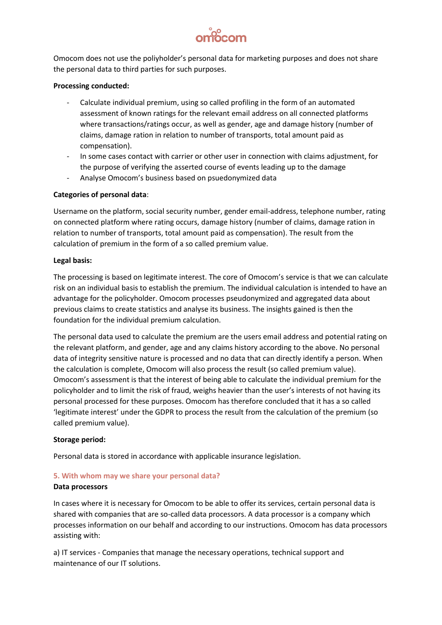

Omocom does not use the poliyholder's personal data for marketing purposes and does not share the personal data to third parties for such purposes.

#### **Processing conducted:**

- Calculate individual premium, using so called profiling in the form of an automated assessment of known ratings for the relevant email address on all connected platforms where transactions/ratings occur, as well as gender, age and damage history (number of claims, damage ration in relation to number of transports, total amount paid as compensation).
- In some cases contact with carrier or other user in connection with claims adjustment, for the purpose of verifying the asserted course of events leading up to the damage
- Analyse Omocom's business based on psuedonymized data

#### **Categories of personal data**:

Username on the platform, social security number, gender email-address, telephone number, rating on connected platform where rating occurs, damage history (number of claims, damage ration in relation to number of transports, total amount paid as compensation). The result from the calculation of premium in the form of a so called premium value.

#### **Legal basis:**

The processing is based on legitimate interest. The core of Omocom's service is that we can calculate risk on an individual basis to establish the premium. The individual calculation is intended to have an advantage for the policyholder. Omocom processes pseudonymized and aggregated data about previous claims to create statistics and analyse its business. The insights gained is then the foundation for the individual premium calculation.

The personal data used to calculate the premium are the users email address and potential rating on the relevant platform, and gender, age and any claims history according to the above. No personal data of integrity sensitive nature is processed and no data that can directly identify a person. When the calculation is complete, Omocom will also process the result (so called premium value). Omocom's assessment is that the interest of being able to calculate the individual premium for the policyholder and to limit the risk of fraud, weighs heavier than the user's interests of not having its personal processed for these purposes. Omocom has therefore concluded that it has a so called 'legitimate interest' under the GDPR to process the result from the calculation of the premium (so called premium value).

#### **Storage period:**

Personal data is stored in accordance with applicable insurance legislation.

#### **5. With whom may we share your personal data?**

#### **Data processors**

In cases where it is necessary for Omocom to be able to offer its services, certain personal data is shared with companies that are so-called data processors. A data processor is a company which processes information on our behalf and according to our instructions. Omocom has data processors assisting with:

a) IT services - Companies that manage the necessary operations, technical support and maintenance of our IT solutions.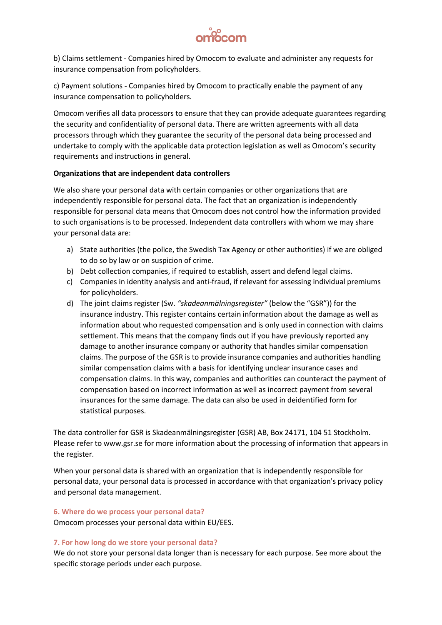

b) Claims settlement - Companies hired by Omocom to evaluate and administer any requests for insurance compensation from policyholders.

c) Payment solutions - Companies hired by Omocom to practically enable the payment of any insurance compensation to policyholders.

Omocom verifies all data processors to ensure that they can provide adequate guarantees regarding the security and confidentiality of personal data. There are written agreements with all data processors through which they guarantee the security of the personal data being processed and undertake to comply with the applicable data protection legislation as well as Omocom's security requirements and instructions in general.

#### **Organizations that are independent data controllers**

We also share your personal data with certain companies or other organizations that are independently responsible for personal data. The fact that an organization is independently responsible for personal data means that Omocom does not control how the information provided to such organisations is to be processed. Independent data controllers with whom we may share your personal data are:

- a) State authorities (the police, the Swedish Tax Agency or other authorities) if we are obliged to do so by law or on suspicion of crime.
- b) Debt collection companies, if required to establish, assert and defend legal claims.
- c) Companies in identity analysis and anti-fraud, if relevant for assessing individual premiums for policyholders.
- d) The joint claims register (Sw. *"skadeanmälningsregister"* (below the "GSR")) for the insurance industry. This register contains certain information about the damage as well as information about who requested compensation and is only used in connection with claims settlement. This means that the company finds out if you have previously reported any damage to another insurance company or authority that handles similar compensation claims. The purpose of the GSR is to provide insurance companies and authorities handling similar compensation claims with a basis for identifying unclear insurance cases and compensation claims. In this way, companies and authorities can counteract the payment of compensation based on incorrect information as well as incorrect payment from several insurances for the same damage. The data can also be used in deidentified form for statistical purposes.

The data controller for GSR is Skadeanmälningsregister (GSR) AB, Box 24171, 104 51 Stockholm. Please refer to www.gsr.se for more information about the processing of information that appears in the register.

When your personal data is shared with an organization that is independently responsible for personal data, your personal data is processed in accordance with that organization's privacy policy and personal data management.

#### **6. Where do we process your personal data?**

Omocom processes your personal data within EU/EES.

#### **7. For how long do we store your personal data?**

We do not store your personal data longer than is necessary for each purpose. See more about the specific storage periods under each purpose.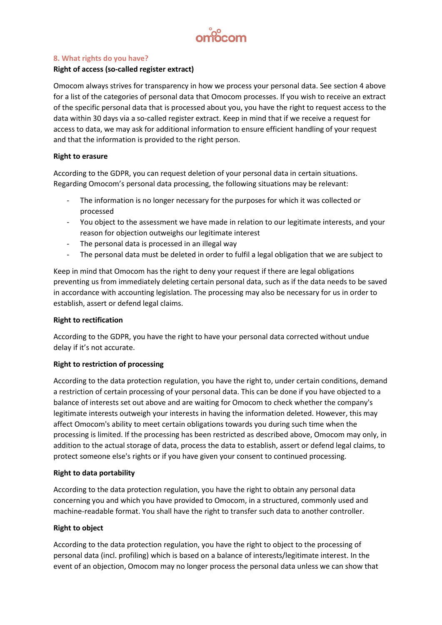

#### **8. What rights do you have?**

#### **Right of access (so-called register extract)**

Omocom always strives for transparency in how we process your personal data. See section 4 above for a list of the categories of personal data that Omocom processes. If you wish to receive an extract of the specific personal data that is processed about you, you have the right to request access to the data within 30 days via a so-called register extract. Keep in mind that if we receive a request for access to data, we may ask for additional information to ensure efficient handling of your request and that the information is provided to the right person.

#### **Right to erasure**

According to the GDPR, you can request deletion of your personal data in certain situations. Regarding Omocom's personal data processing, the following situations may be relevant:

- The information is no longer necessary for the purposes for which it was collected or processed
- You object to the assessment we have made in relation to our legitimate interests, and your reason for objection outweighs our legitimate interest
- The personal data is processed in an illegal way
- The personal data must be deleted in order to fulfil a legal obligation that we are subject to

Keep in mind that Omocom has the right to deny your request if there are legal obligations preventing us from immediately deleting certain personal data, such as if the data needs to be saved in accordance with accounting legislation. The processing may also be necessary for us in order to establish, assert or defend legal claims.

#### **Right to rectification**

According to the GDPR, you have the right to have your personal data corrected without undue delay if it's not accurate.

#### **Right to restriction of processing**

According to the data protection regulation, you have the right to, under certain conditions, demand a restriction of certain processing of your personal data. This can be done if you have objected to a balance of interests set out above and are waiting for Omocom to check whether the company's legitimate interests outweigh your interests in having the information deleted. However, this may affect Omocom's ability to meet certain obligations towards you during such time when the processing is limited. If the processing has been restricted as described above, Omocom may only, in addition to the actual storage of data, process the data to establish, assert or defend legal claims, to protect someone else's rights or if you have given your consent to continued processing.

#### **Right to data portability**

According to the data protection regulation, you have the right to obtain any personal data concerning you and which you have provided to Omocom, in a structured, commonly used and machine-readable format. You shall have the right to transfer such data to another controller.

# **Right to object**

According to the data protection regulation, you have the right to object to the processing of personal data (incl. profiling) which is based on a balance of interests/legitimate interest. In the event of an objection, Omocom may no longer process the personal data unless we can show that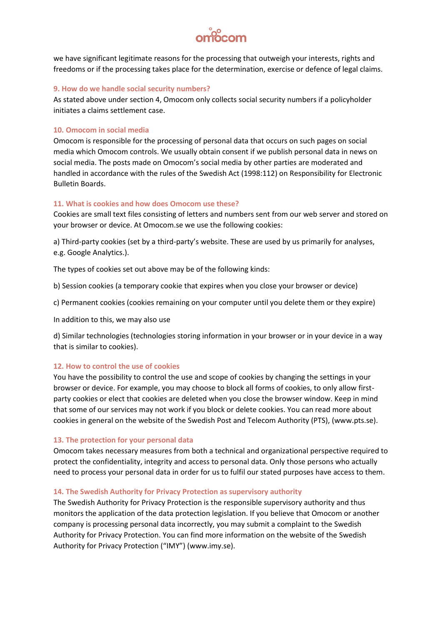

we have significant legitimate reasons for the processing that outweigh your interests, rights and freedoms or if the processing takes place for the determination, exercise or defence of legal claims.

#### **9. How do we handle social security numbers?**

As stated above under section 4, Omocom only collects social security numbers if a policyholder initiates a claims settlement case.

#### **10. Omocom in social media**

Omocom is responsible for the processing of personal data that occurs on such pages on social media which Omocom controls. We usually obtain consent if we publish personal data in news on social media. The posts made on Omocom's social media by other parties are moderated and handled in accordance with the rules of the Swedish Act (1998:112) on Responsibility for Electronic Bulletin Boards.

#### **11. What is cookies and how does Omocom use these?**

Cookies are small text files consisting of letters and numbers sent from our web server and stored on your browser or device. At Omocom.se we use the following cookies:

a) Third-party cookies (set by a third-party's website. These are used by us primarily for analyses, e.g. Google Analytics.).

The types of cookies set out above may be of the following kinds:

b) Session cookies (a temporary cookie that expires when you close your browser or device)

c) Permanent cookies (cookies remaining on your computer until you delete them or they expire)

In addition to this, we may also use

d) Similar technologies (technologies storing information in your browser or in your device in a way that is similar to cookies).

#### **12. How to control the use of cookies**

You have the possibility to control the use and scope of cookies by changing the settings in your browser or device. For example, you may choose to block all forms of cookies, to only allow firstparty cookies or elect that cookies are deleted when you close the browser window. Keep in mind that some of our services may not work if you block or delete cookies. You can read more about cookies in general on the website of the Swedish Post and Telecom Authority (PTS), (www.pts.se).

#### **13. The protection for your personal data**

Omocom takes necessary measures from both a technical and organizational perspective required to protect the confidentiality, integrity and access to personal data. Only those persons who actually need to process your personal data in order for us to fulfil our stated purposes have access to them.

#### **14. The Swedish Authority for Privacy Protection as supervisory authority**

The Swedish Authority for Privacy Protection is the responsible supervisory authority and thus monitors the application of the data protection legislation. If you believe that Omocom or another company is processing personal data incorrectly, you may submit a complaint to the Swedish Authority for Privacy Protection. You can find more information on the website of the Swedish Authority for Privacy Protection ("IMY") (www.imy.se).